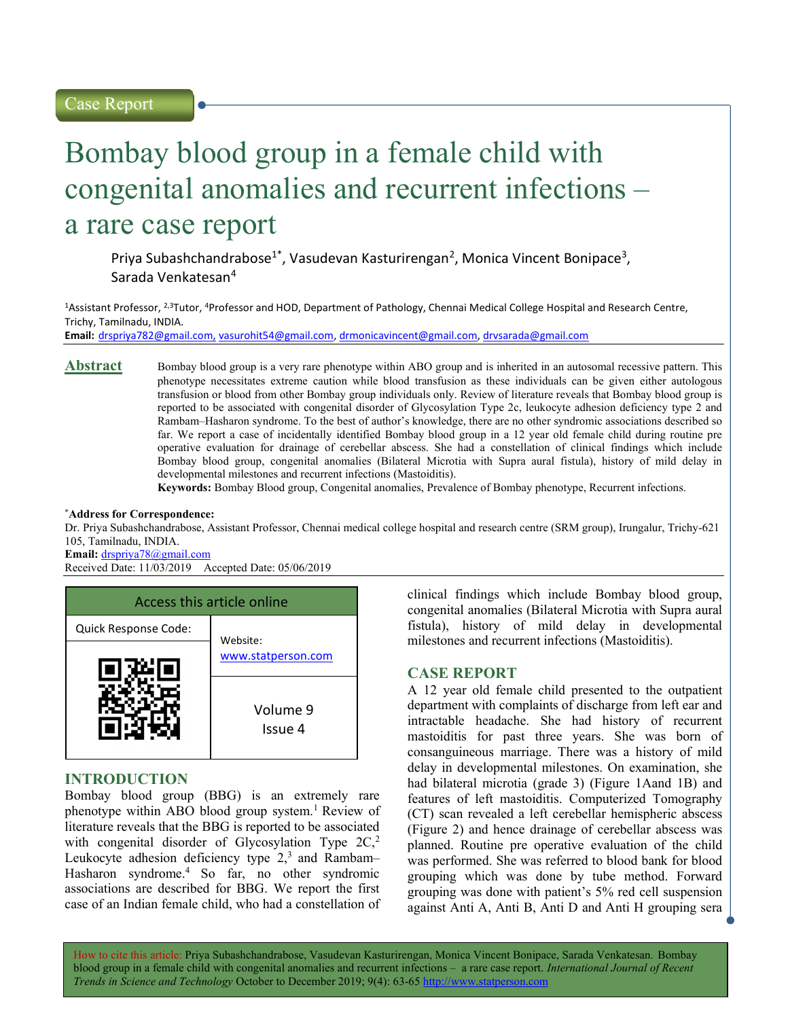# Bombay blood group in a female child with congenital anomalies and recurrent infections – a rare case report

Priya Subashchandrabose<sup>1\*</sup>, Vasudevan Kasturirengan<sup>2</sup>, Monica Vincent Bonipace<sup>3</sup>, Sarada Venkatesan<sup>4</sup>

<sup>1</sup>Assistant Professor, <sup>2,3</sup>Tutor, <sup>4</sup>Professor and HOD, Department of Pathology, Chennai Medical College Hospital and Research Centre, Trichy, Tamilnadu, INDIA.

Email: drspriya782@gmail.com, vasurohit54@gmail.com, drmonicavincent@gmail.com, drvsarada@gmail.com

Abstract Bombay blood group is a very rare phenotype within ABO group and is inherited in an autosomal recessive pattern. This phenotype necessitates extreme caution while blood transfusion as these individuals can be given either autologous transfusion or blood from other Bombay group individuals only. Review of literature reveals that Bombay blood group is reported to be associated with congenital disorder of Glycosylation Type 2c, leukocyte adhesion deficiency type 2 and Rambam–Hasharon syndrome. To the best of author's knowledge, there are no other syndromic associations described so far. We report a case of incidentally identified Bombay blood group in a 12 year old female child during routine pre operative evaluation for drainage of cerebellar abscess. She had a constellation of clinical findings which include Bombay blood group, congenital anomalies (Bilateral Microtia with Supra aural fistula), history of mild delay in developmental milestones and recurrent infections (Mastoiditis).

Keywords: Bombay Blood group, Congenital anomalies, Prevalence of Bombay phenotype, Recurrent infections.

#### \*Address for Correspondence:

Dr. Priya Subashchandrabose, Assistant Professor, Chennai medical college hospital and research centre (SRM group), Irungalur, Trichy-621 105, Tamilnadu, INDIA.

Email: drspriya78@gmail.com

Received Date: 11/03/2019 Accepted Date: 05/06/2019



## INTRODUCTION

Bombay blood group (BBG) is an extremely rare phenotype within ABO blood group system.<sup>1</sup> Review of literature reveals that the BBG is reported to be associated with congenital disorder of Glycosylation Type 2C,<sup>2</sup> Leukocyte adhesion deficiency type  $2<sup>3</sup>$  and Rambam– Hasharon syndrome.<sup>4</sup> So far, no other syndromic associations are described for BBG. We report the first case of an Indian female child, who had a constellation of clinical findings which include Bombay blood group, congenital anomalies (Bilateral Microtia with Supra aural fistula), history of mild delay in developmental milestones and recurrent infections (Mastoiditis).

# CASE REPORT

A 12 year old female child presented to the outpatient department with complaints of discharge from left ear and intractable headache. She had history of recurrent mastoiditis for past three years. She was born of consanguineous marriage. There was a history of mild delay in developmental milestones. On examination, she had bilateral microtia (grade 3) (Figure 1Aand 1B) and features of left mastoiditis. Computerized Tomography (CT) scan revealed a left cerebellar hemispheric abscess (Figure 2) and hence drainage of cerebellar abscess was planned. Routine pre operative evaluation of the child was performed. She was referred to blood bank for blood grouping which was done by tube method. Forward grouping was done with patient's 5% red cell suspension against Anti A, Anti B, Anti D and Anti H grouping sera

How to cite this article: Priya Subashchandrabose, Vasudevan Kasturirengan, Monica Vincent Bonipace, Sarada Venkatesan. Bombay blood group in a female child with congenital anomalies and recurrent infections – a rare case report. International Journal of Recent Trends in Science and Technology October to December 2019; 9(4): 63-65 http://www.statperson.com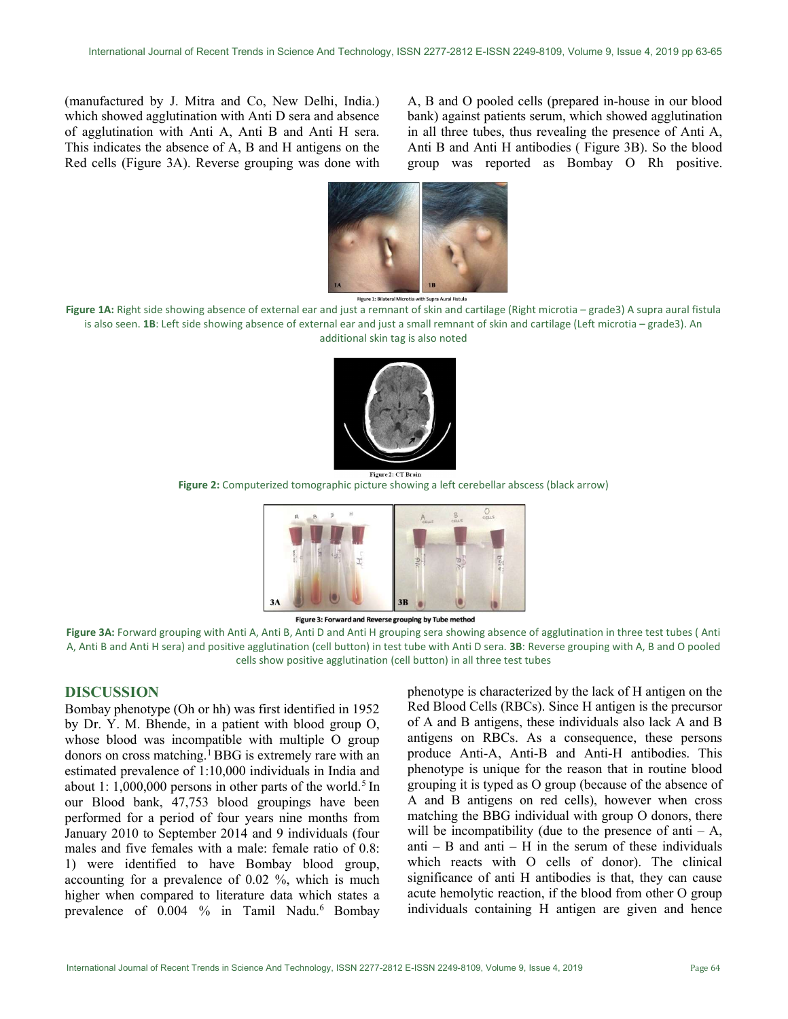(manufactured by J. Mitra and Co, New Delhi, India.) which showed agglutination with Anti D sera and absence of agglutination with Anti A, Anti B and Anti H sera. This indicates the absence of A, B and H antigens on the Red cells (Figure 3A). Reverse grouping was done with

A, B and O pooled cells (prepared in-house in our blood bank) against patients serum, which showed agglutination in all three tubes, thus revealing the presence of Anti A, Anti B and Anti H antibodies ( Figure 3B). So the blood group was reported as Bombay O Rh positive.



upra Aural Fistula Figure 1: Bilateral Mi

Figure 1A: Right side showing absence of external ear and just a remnant of skin and cartilage (Right microtia - grade3) A supra aural fistula is also seen. 1B: Left side showing absence of external ear and just a small remnant of skin and cartilage (Left microtia – grade3). An additional skin tag is also noted



Figure 2: Computerized tomographic picture showing a left cerebellar abscess (black arrow)





Figure 3A: Forward grouping with Anti A, Anti B, Anti D and Anti H grouping sera showing absence of agglutination in three test tubes (Anti A, Anti B and Anti H sera) and positive agglutination (cell button) in test tube with Anti D sera. 3B: Reverse grouping with A, B and O pooled cells show positive agglutination (cell button) in all three test tubes

### DISCUSSION

Bombay phenotype (Oh or hh) was first identified in 1952 by Dr. Y. M. Bhende, in a patient with blood group O, whose blood was incompatible with multiple O group donors on cross matching.<sup>1</sup>BBG is extremely rare with an estimated prevalence of 1:10,000 individuals in India and about 1:  $1,000,000$  persons in other parts of the world.<sup>5</sup> In our Blood bank, 47,753 blood groupings have been performed for a period of four years nine months from January 2010 to September 2014 and 9 individuals (four males and five females with a male: female ratio of 0.8: 1) were identified to have Bombay blood group, accounting for a prevalence of 0.02 %, which is much higher when compared to literature data which states a prevalence of 0.004 % in Tamil Nadu.<sup>6</sup> Bombay

phenotype is characterized by the lack of H antigen on the Red Blood Cells (RBCs). Since H antigen is the precursor of A and B antigens, these individuals also lack A and B antigens on RBCs. As a consequence, these persons produce Anti-A, Anti-B and Anti-H antibodies. This phenotype is unique for the reason that in routine blood grouping it is typed as O group (because of the absence of A and B antigens on red cells), however when cross matching the BBG individual with group O donors, there will be incompatibility (due to the presence of anti  $- A$ , anti – B and anti – H in the serum of these individuals which reacts with O cells of donor). The clinical significance of anti H antibodies is that, they can cause acute hemolytic reaction, if the blood from other O group individuals containing H antigen are given and hence